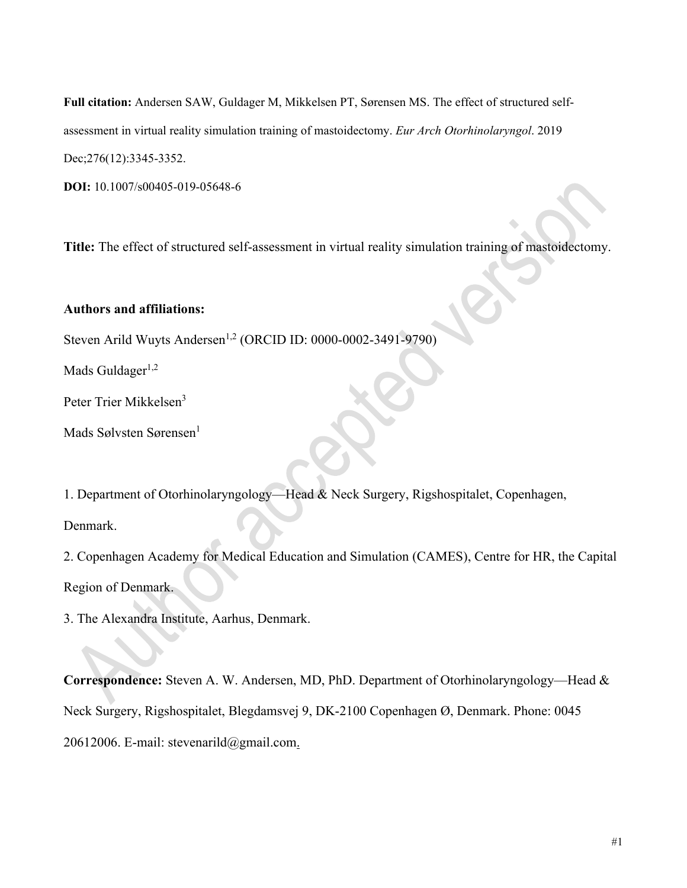**Full citation:** Andersen SAW, Guldager M, Mikkelsen PT, Sørensen MS. The effect of structured selfassessment in virtual reality simulation training of mastoidectomy. *Eur Arch Otorhinolaryngol*. 2019 Dec;276(12):3345-3352.

**DOI:** 10.1007/s00405-019-05648-6

**Title:** The effect of structured self-assessment in virtual reality simulation training of mastoidectomy.

# **Authors and affiliations:**

Steven Arild Wuyts Andersen<sup>1,2</sup> (ORCID ID: 0000-0002-3491-9790)

Mads Guldager $1,2$ 

Peter Trier Mikkelsen<sup>3</sup>

Mads Sølvsten Sørensen<sup>1</sup>

1. Department of Otorhinolaryngology—Head & Neck Surgery, Rigshospitalet, Copenhagen,

Denmark.

2. Copenhagen Academy for Medical Education and Simulation (CAMES), Centre for HR, the Capital Region of Denmark.

3. The Alexandra Institute, Aarhus, Denmark.

**Correspondence:** Steven A. W. Andersen, MD, PhD. Department of Otorhinolaryngology—Head & Neck Surgery, Rigshospitalet, Blegdamsvej 9, DK-2100 Copenhagen Ø, Denmark. Phone: 0045 20612006. E-mail: stevenarild@gmail.com.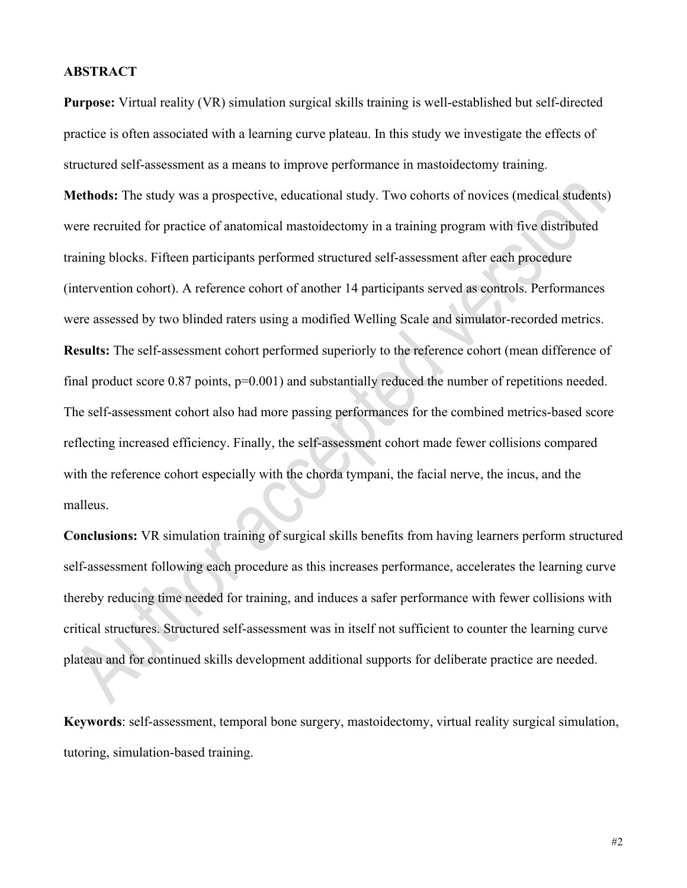#### **ABSTRACT**

**Purpose:** Virtual reality (VR) simulation surgical skills training is well-established but self-directed practice is often associated with a learning curve plateau. In this study we investigate the effects of structured self-assessment as a means to improve performance in mastoidectomy training.

**Methods:** The study was a prospective, educational study. Two cohorts of novices (medical students) were recruited for practice of anatomical mastoidectomy in a training program with five distributed training blocks. Fifteen participants performed structured self-assessment after each procedure (intervention cohort). A reference cohort of another 14 participants served as controls. Performances were assessed by two blinded raters using a modified Welling Scale and simulator-recorded metrics. **Results:** The self-assessment cohort performed superiorly to the reference cohort (mean difference of final product score 0.87 points,  $p=0.001$ ) and substantially reduced the number of repetitions needed. The self-assessment cohort also had more passing performances for the combined metrics-based score reflecting increased efficiency. Finally, the self-assessment cohort made fewer collisions compared with the reference cohort especially with the chorda tympani, the facial nerve, the incus, and the malleus.

**Conclusions:** VR simulation training of surgical skills benefits from having learners perform structured self-assessment following each procedure as this increases performance, accelerates the learning curve thereby reducing time needed for training, and induces a safer performance with fewer collisions with critical structures. Structured self-assessment was in itself not sufficient to counter the learning curve plateau and for continued skills development additional supports for deliberate practice are needed.

**Keywords**: self-assessment, temporal bone surgery, mastoidectomy, virtual reality surgical simulation, tutoring, simulation-based training.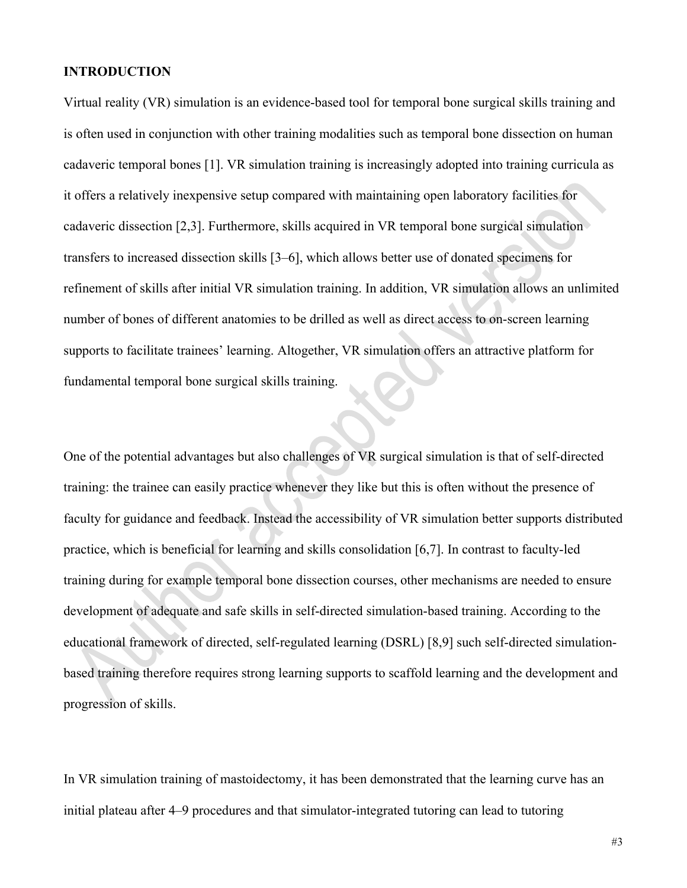# **INTRODUCTION**

Virtual reality (VR) simulation is an evidence-based tool for temporal bone surgical skills training and is often used in conjunction with other training modalities such as temporal bone dissection on human cadaveric temporal bones [1]. VR simulation training is increasingly adopted into training curricula as it offers a relatively inexpensive setup compared with maintaining open laboratory facilities for cadaveric dissection [2,3]. Furthermore, skills acquired in VR temporal bone surgical simulation transfers to increased dissection skills [3–6], which allows better use of donated specimens for refinement of skills after initial VR simulation training. In addition, VR simulation allows an unlimited number of bones of different anatomies to be drilled as well as direct access to on-screen learning supports to facilitate trainees' learning. Altogether, VR simulation offers an attractive platform for fundamental temporal bone surgical skills training.

One of the potential advantages but also challenges of VR surgical simulation is that of self-directed training: the trainee can easily practice whenever they like but this is often without the presence of faculty for guidance and feedback. Instead the accessibility of VR simulation better supports distributed practice, which is beneficial for learning and skills consolidation [6,7]. In contrast to faculty-led training during for example temporal bone dissection courses, other mechanisms are needed to ensure development of adequate and safe skills in self-directed simulation-based training. According to the educational framework of directed, self-regulated learning (DSRL) [8,9] such self-directed simulationbased training therefore requires strong learning supports to scaffold learning and the development and progression of skills.

In VR simulation training of mastoidectomy, it has been demonstrated that the learning curve has an initial plateau after 4–9 procedures and that simulator-integrated tutoring can lead to tutoring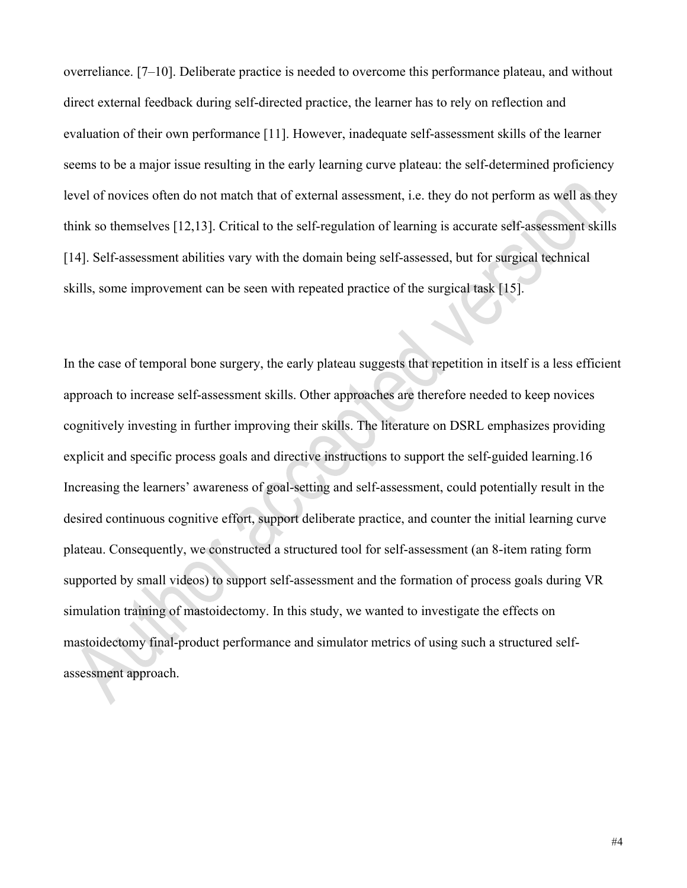overreliance. [7–10]. Deliberate practice is needed to overcome this performance plateau, and without direct external feedback during self-directed practice, the learner has to rely on reflection and evaluation of their own performance [11]. However, inadequate self-assessment skills of the learner seems to be a major issue resulting in the early learning curve plateau: the self-determined proficiency level of novices often do not match that of external assessment, i.e. they do not perform as well as they think so themselves [12,13]. Critical to the self-regulation of learning is accurate self-assessment skills [14]. Self-assessment abilities vary with the domain being self-assessed, but for surgical technical skills, some improvement can be seen with repeated practice of the surgical task [15].

In the case of temporal bone surgery, the early plateau suggests that repetition in itself is a less efficient approach to increase self-assessment skills. Other approaches are therefore needed to keep novices cognitively investing in further improving their skills. The literature on DSRL emphasizes providing explicit and specific process goals and directive instructions to support the self-guided learning.16 Increasing the learners' awareness of goal-setting and self-assessment, could potentially result in the desired continuous cognitive effort, support deliberate practice, and counter the initial learning curve plateau. Consequently, we constructed a structured tool for self-assessment (an 8-item rating form supported by small videos) to support self-assessment and the formation of process goals during VR simulation training of mastoidectomy. In this study, we wanted to investigate the effects on mastoidectomy final-product performance and simulator metrics of using such a structured selfassessment approach.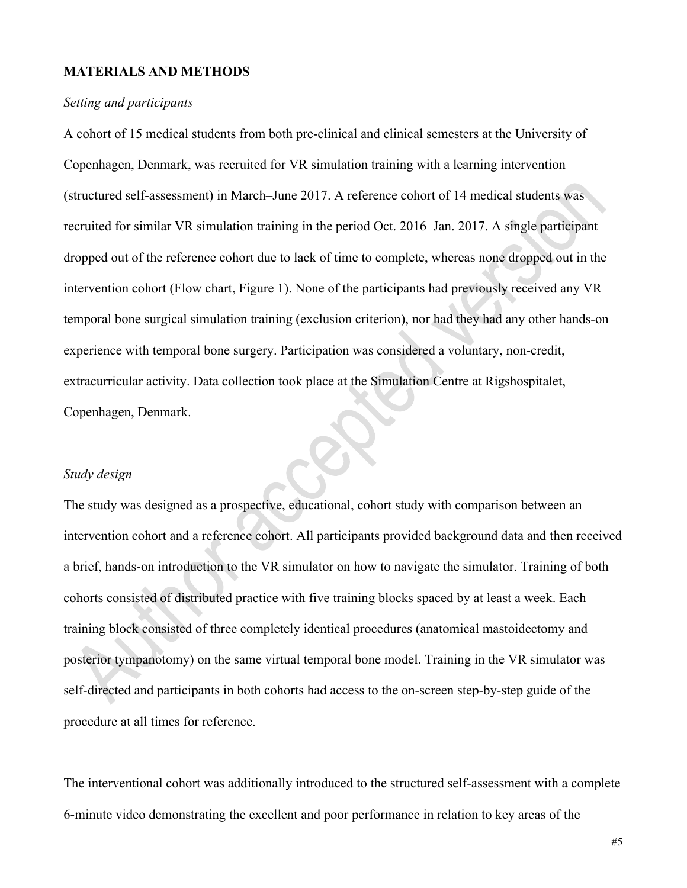# **MATERIALS AND METHODS**

#### *Setting and participants*

A cohort of 15 medical students from both pre-clinical and clinical semesters at the University of Copenhagen, Denmark, was recruited for VR simulation training with a learning intervention (structured self-assessment) in March–June 2017. A reference cohort of 14 medical students was recruited for similar VR simulation training in the period Oct. 2016–Jan. 2017. A single participant dropped out of the reference cohort due to lack of time to complete, whereas none dropped out in the intervention cohort (Flow chart, Figure 1). None of the participants had previously received any VR temporal bone surgical simulation training (exclusion criterion), nor had they had any other hands-on experience with temporal bone surgery. Participation was considered a voluntary, non-credit, extracurricular activity. Data collection took place at the Simulation Centre at Rigshospitalet, Copenhagen, Denmark.

# *Study design*

The study was designed as a prospective, educational, cohort study with comparison between an intervention cohort and a reference cohort. All participants provided background data and then received a brief, hands-on introduction to the VR simulator on how to navigate the simulator. Training of both cohorts consisted of distributed practice with five training blocks spaced by at least a week. Each training block consisted of three completely identical procedures (anatomical mastoidectomy and posterior tympanotomy) on the same virtual temporal bone model. Training in the VR simulator was self-directed and participants in both cohorts had access to the on-screen step-by-step guide of the procedure at all times for reference.

The interventional cohort was additionally introduced to the structured self-assessment with a complete 6-minute video demonstrating the excellent and poor performance in relation to key areas of the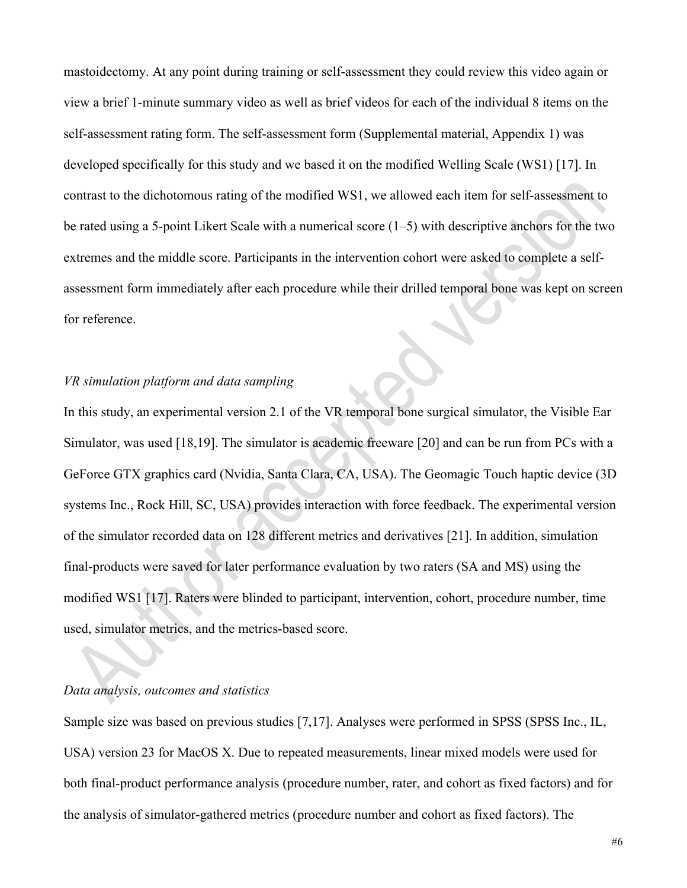mastoidectomy. At any point during training or self-assessment they could review this video again or view a brief 1-minute summary video as well as brief videos for each of the individual 8 items on the self-assessment rating form. The self-assessment form (Supplemental material, Appendix 1) was developed specifically for this study and we based it on the modified Welling Scale (WS1) [17]. In contrast to the dichotomous rating of the modified WS1, we allowed each item for self-assessment to be rated using a 5-point Likert Scale with a numerical score (1–5) with descriptive anchors for the two extremes and the middle score. Participants in the intervention cohort were asked to complete a selfassessment form immediately after each procedure while their drilled temporal bone was kept on screen for reference.

# *VR simulation platform and data sampling*

In this study, an experimental version 2.1 of the VR temporal bone surgical simulator, the Visible Ear Simulator, was used [18,19]. The simulator is academic freeware [20] and can be run from PCs with a GeForce GTX graphics card (Nvidia, Santa Clara, CA, USA). The Geomagic Touch haptic device (3D systems Inc., Rock Hill, SC, USA) provides interaction with force feedback. The experimental version of the simulator recorded data on 128 different metrics and derivatives [21]. In addition, simulation final-products were saved for later performance evaluation by two raters (SA and MS) using the modified WS1 [17]. Raters were blinded to participant, intervention, cohort, procedure number, time used, simulator metrics, and the metrics-based score.

# *Data analysis, outcomes and statistics*

Sample size was based on previous studies [7,17]. Analyses were performed in SPSS (SPSS Inc., IL, USA) version 23 for MacOS X. Due to repeated measurements, linear mixed models were used for both final-product performance analysis (procedure number, rater, and cohort as fixed factors) and for the analysis of simulator-gathered metrics (procedure number and cohort as fixed factors). The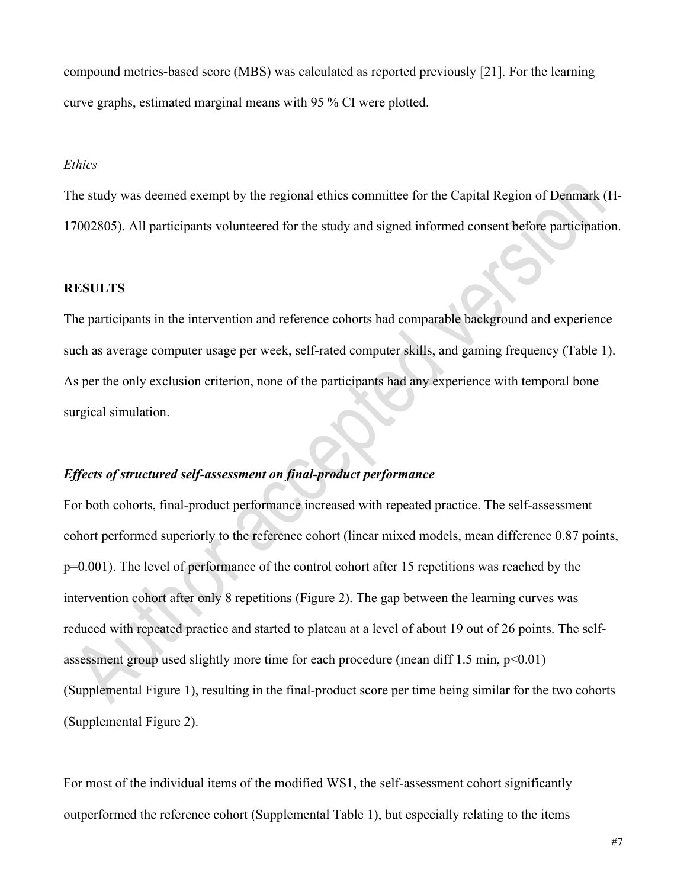compound metrics-based score (MBS) was calculated as reported previously [21]. For the learning curve graphs, estimated marginal means with 95 % CI were plotted.

# *Ethics*

The study was deemed exempt by the regional ethics committee for the Capital Region of Denmark (H-17002805). All participants volunteered for the study and signed informed consent before participation.

#### **RESULTS**

The participants in the intervention and reference cohorts had comparable background and experience such as average computer usage per week, self-rated computer skills, and gaming frequency (Table 1). As per the only exclusion criterion, none of the participants had any experience with temporal bone surgical simulation.

# *Effects of structured self-assessment on final-product performance*

For both cohorts, final-product performance increased with repeated practice. The self-assessment cohort performed superiorly to the reference cohort (linear mixed models, mean difference 0.87 points, p=0.001). The level of performance of the control cohort after 15 repetitions was reached by the intervention cohort after only 8 repetitions (Figure 2). The gap between the learning curves was reduced with repeated practice and started to plateau at a level of about 19 out of 26 points. The selfassessment group used slightly more time for each procedure (mean diff  $1.5$  min,  $p<0.01$ ) (Supplemental Figure 1), resulting in the final-product score per time being similar for the two cohorts (Supplemental Figure 2).

For most of the individual items of the modified WS1, the self-assessment cohort significantly outperformed the reference cohort (Supplemental Table 1), but especially relating to the items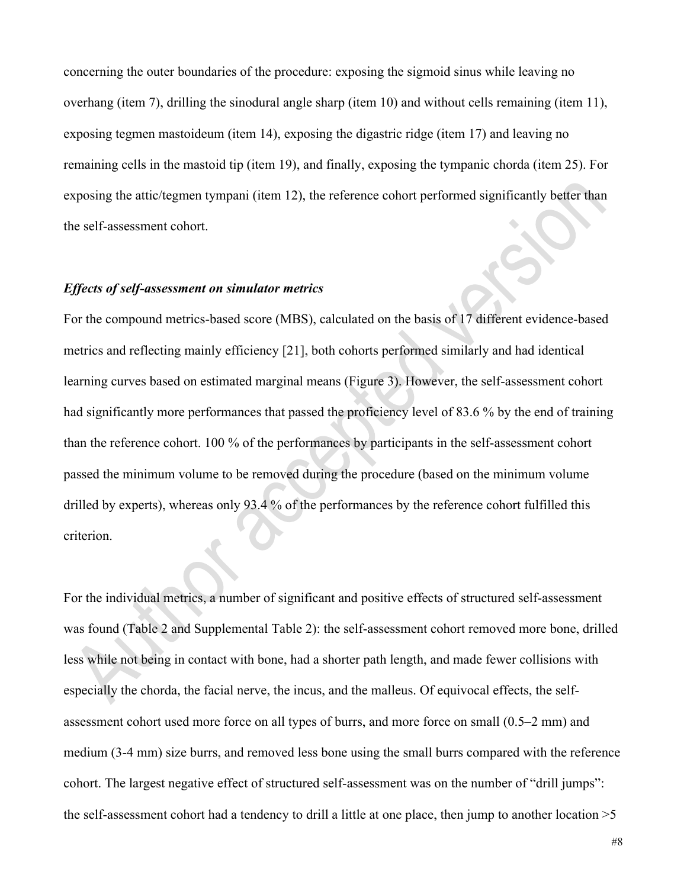concerning the outer boundaries of the procedure: exposing the sigmoid sinus while leaving no overhang (item 7), drilling the sinodural angle sharp (item 10) and without cells remaining (item 11), exposing tegmen mastoideum (item 14), exposing the digastric ridge (item 17) and leaving no remaining cells in the mastoid tip (item 19), and finally, exposing the tympanic chorda (item 25). For exposing the attic/tegmen tympani (item 12), the reference cohort performed significantly better than the self-assessment cohort.

# *Effects of self-assessment on simulator metrics*

For the compound metrics-based score (MBS), calculated on the basis of 17 different evidence-based metrics and reflecting mainly efficiency [21], both cohorts performed similarly and had identical learning curves based on estimated marginal means (Figure 3). However, the self-assessment cohort had significantly more performances that passed the proficiency level of 83.6 % by the end of training than the reference cohort. 100 % of the performances by participants in the self-assessment cohort passed the minimum volume to be removed during the procedure (based on the minimum volume drilled by experts), whereas only 93.4 % of the performances by the reference cohort fulfilled this criterion.

For the individual metrics, a number of significant and positive effects of structured self-assessment was found (Table 2 and Supplemental Table 2): the self-assessment cohort removed more bone, drilled less while not being in contact with bone, had a shorter path length, and made fewer collisions with especially the chorda, the facial nerve, the incus, and the malleus. Of equivocal effects, the selfassessment cohort used more force on all types of burrs, and more force on small (0.5–2 mm) and medium (3-4 mm) size burrs, and removed less bone using the small burrs compared with the reference cohort. The largest negative effect of structured self-assessment was on the number of "drill jumps": the self-assessment cohort had a tendency to drill a little at one place, then jump to another location >5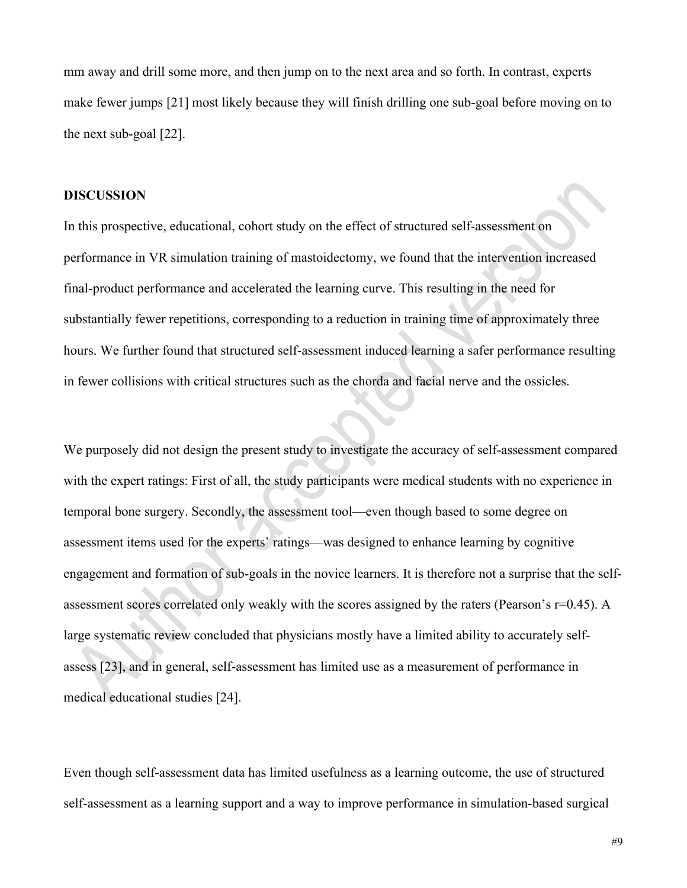mm away and drill some more, and then jump on to the next area and so forth. In contrast, experts make fewer jumps [21] most likely because they will finish drilling one sub-goal before moving on to the next sub-goal [22].

# **DISCUSSION**

In this prospective, educational, cohort study on the effect of structured self-assessment on performance in VR simulation training of mastoidectomy, we found that the intervention increased final-product performance and accelerated the learning curve. This resulting in the need for substantially fewer repetitions, corresponding to a reduction in training time of approximately three hours. We further found that structured self-assessment induced learning a safer performance resulting in fewer collisions with critical structures such as the chorda and facial nerve and the ossicles.

We purposely did not design the present study to investigate the accuracy of self-assessment compared with the expert ratings: First of all, the study participants were medical students with no experience in temporal bone surgery. Secondly, the assessment tool—even though based to some degree on assessment items used for the experts' ratings—was designed to enhance learning by cognitive engagement and formation of sub-goals in the novice learners. It is therefore not a surprise that the selfassessment scores correlated only weakly with the scores assigned by the raters (Pearson's r=0.45). A large systematic review concluded that physicians mostly have a limited ability to accurately selfassess [23], and in general, self-assessment has limited use as a measurement of performance in medical educational studies [24].

Even though self-assessment data has limited usefulness as a learning outcome, the use of structured self-assessment as a learning support and a way to improve performance in simulation-based surgical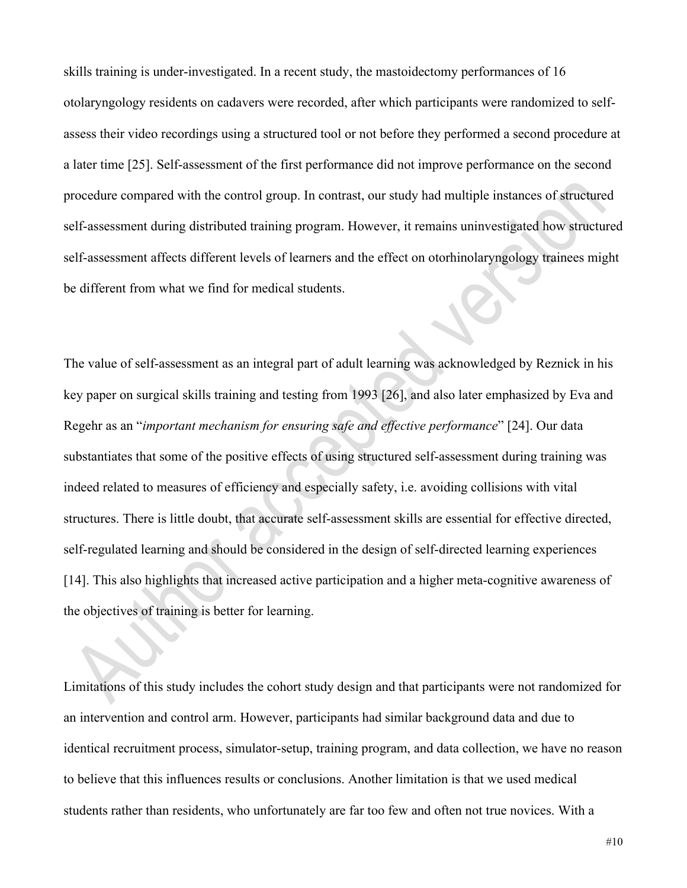skills training is under-investigated. In a recent study, the mastoidectomy performances of 16 otolaryngology residents on cadavers were recorded, after which participants were randomized to selfassess their video recordings using a structured tool or not before they performed a second procedure at a later time [25]. Self-assessment of the first performance did not improve performance on the second procedure compared with the control group. In contrast, our study had multiple instances of structured self-assessment during distributed training program. However, it remains uninvestigated how structured self-assessment affects different levels of learners and the effect on otorhinolaryngology trainees might be different from what we find for medical students.

The value of self-assessment as an integral part of adult learning was acknowledged by Reznick in his key paper on surgical skills training and testing from 1993 [26], and also later emphasized by Eva and Regehr as an "*important mechanism for ensuring safe and effective performance*" [24]. Our data substantiates that some of the positive effects of using structured self-assessment during training was indeed related to measures of efficiency and especially safety, i.e. avoiding collisions with vital structures. There is little doubt, that accurate self-assessment skills are essential for effective directed, self-regulated learning and should be considered in the design of self-directed learning experiences [14]. This also highlights that increased active participation and a higher meta-cognitive awareness of the objectives of training is better for learning.

Limitations of this study includes the cohort study design and that participants were not randomized for an intervention and control arm. However, participants had similar background data and due to identical recruitment process, simulator-setup, training program, and data collection, we have no reason to believe that this influences results or conclusions. Another limitation is that we used medical students rather than residents, who unfortunately are far too few and often not true novices. With a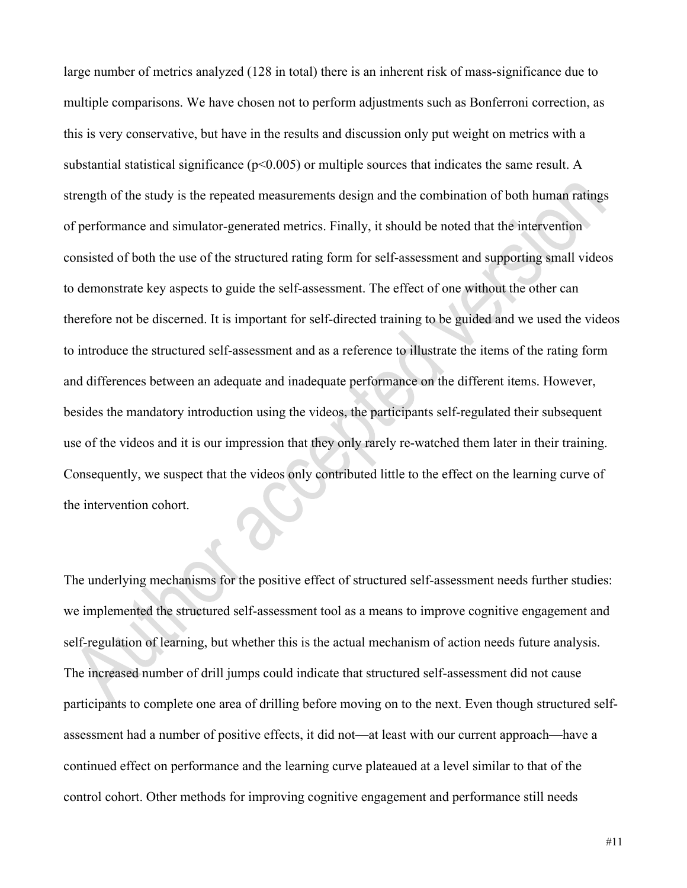large number of metrics analyzed (128 in total) there is an inherent risk of mass-significance due to multiple comparisons. We have chosen not to perform adjustments such as Bonferroni correction, as this is very conservative, but have in the results and discussion only put weight on metrics with a substantial statistical significance ( $p<0.005$ ) or multiple sources that indicates the same result. A strength of the study is the repeated measurements design and the combination of both human ratings of performance and simulator-generated metrics. Finally, it should be noted that the intervention consisted of both the use of the structured rating form for self-assessment and supporting small videos to demonstrate key aspects to guide the self-assessment. The effect of one without the other can therefore not be discerned. It is important for self-directed training to be guided and we used the videos to introduce the structured self-assessment and as a reference to illustrate the items of the rating form and differences between an adequate and inadequate performance on the different items. However, besides the mandatory introduction using the videos, the participants self-regulated their subsequent use of the videos and it is our impression that they only rarely re-watched them later in their training. Consequently, we suspect that the videos only contributed little to the effect on the learning curve of the intervention cohort.

The underlying mechanisms for the positive effect of structured self-assessment needs further studies: we implemented the structured self-assessment tool as a means to improve cognitive engagement and self-regulation of learning, but whether this is the actual mechanism of action needs future analysis. The increased number of drill jumps could indicate that structured self-assessment did not cause participants to complete one area of drilling before moving on to the next. Even though structured selfassessment had a number of positive effects, it did not—at least with our current approach—have a continued effect on performance and the learning curve plateaued at a level similar to that of the control cohort. Other methods for improving cognitive engagement and performance still needs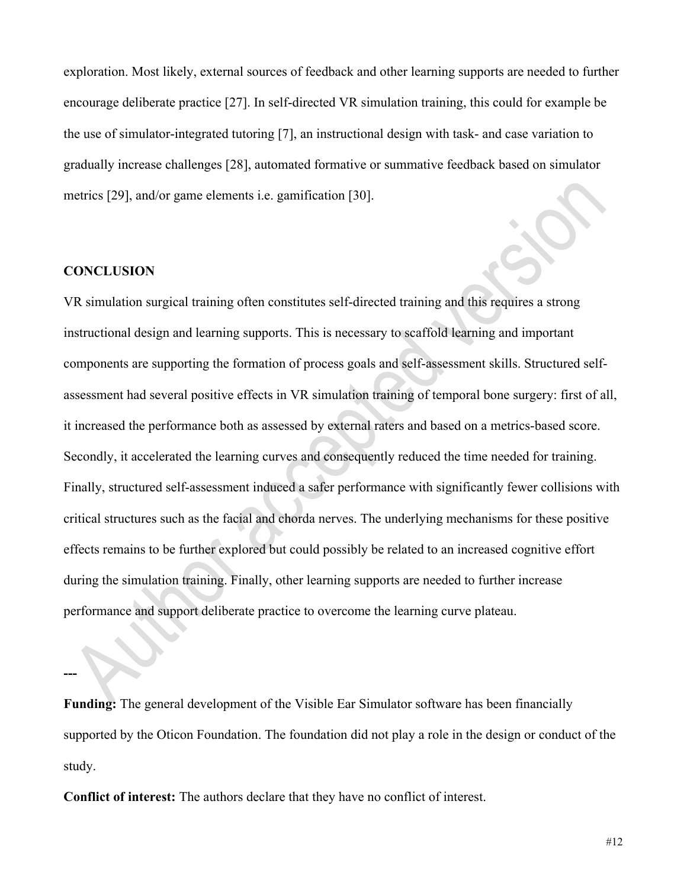exploration. Most likely, external sources of feedback and other learning supports are needed to further encourage deliberate practice [27]. In self-directed VR simulation training, this could for example be the use of simulator-integrated tutoring [7], an instructional design with task- and case variation to gradually increase challenges [28], automated formative or summative feedback based on simulator metrics [29], and/or game elements i.e. gamification [30].

# **CONCLUSION**

**---**

VR simulation surgical training often constitutes self-directed training and this requires a strong instructional design and learning supports. This is necessary to scaffold learning and important components are supporting the formation of process goals and self-assessment skills. Structured selfassessment had several positive effects in VR simulation training of temporal bone surgery: first of all, it increased the performance both as assessed by external raters and based on a metrics-based score. Secondly, it accelerated the learning curves and consequently reduced the time needed for training. Finally, structured self-assessment induced a safer performance with significantly fewer collisions with critical structures such as the facial and chorda nerves. The underlying mechanisms for these positive effects remains to be further explored but could possibly be related to an increased cognitive effort during the simulation training. Finally, other learning supports are needed to further increase performance and support deliberate practice to overcome the learning curve plateau.

**Funding:** The general development of the Visible Ear Simulator software has been financially supported by the Oticon Foundation. The foundation did not play a role in the design or conduct of the study.

**Conflict of interest:** The authors declare that they have no conflict of interest.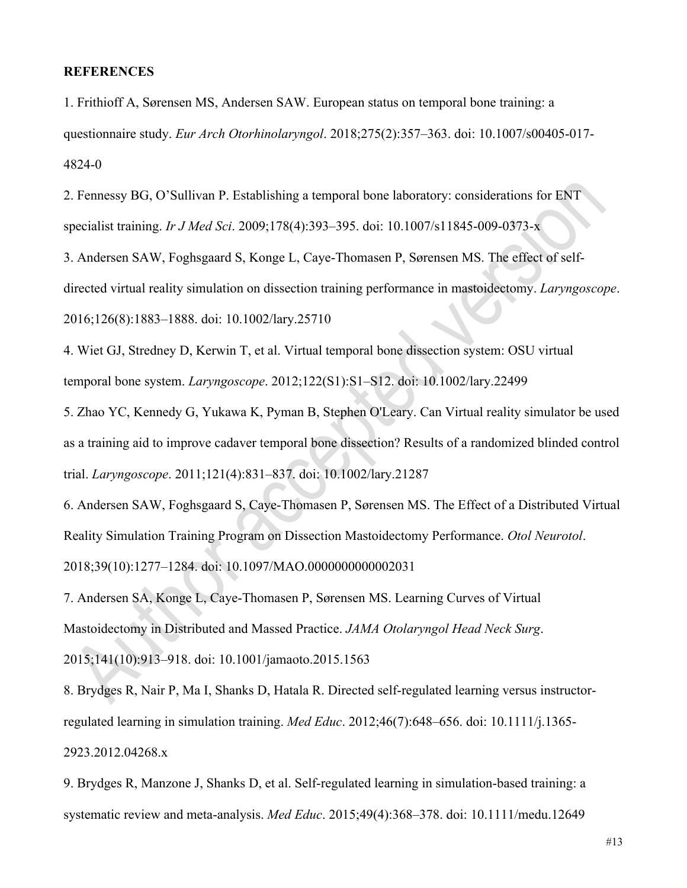# **REFERENCES**

1. Frithioff A, Sørensen MS, Andersen SAW. European status on temporal bone training: a questionnaire study. *Eur Arch Otorhinolaryngol*. 2018;275(2):357–363. doi: 10.1007/s00405-017- 4824-0

2. Fennessy BG, O'Sullivan P. Establishing a temporal bone laboratory: considerations for ENT specialist training. *Ir J Med Sci*. 2009;178(4):393–395. doi: 10.1007/s11845-009-0373-x

3. Andersen SAW, Foghsgaard S, Konge L, Caye-Thomasen P, Sørensen MS. The effect of selfdirected virtual reality simulation on dissection training performance in mastoidectomy. *Laryngoscope*. 2016;126(8):1883–1888. doi: 10.1002/lary.25710

4. Wiet GJ, Stredney D, Kerwin T, et al. Virtual temporal bone dissection system: OSU virtual temporal bone system. *Laryngoscope*. 2012;122(S1):S1–S12. doi: 10.1002/lary.22499

5. Zhao YC, Kennedy G, Yukawa K, Pyman B, Stephen O'Leary. Can Virtual reality simulator be used as a training aid to improve cadaver temporal bone dissection? Results of a randomized blinded control trial. *Laryngoscope*. 2011;121(4):831–837. doi: 10.1002/lary.21287

6. Andersen SAW, Foghsgaard S, Caye-Thomasen P, Sørensen MS. The Effect of a Distributed Virtual Reality Simulation Training Program on Dissection Mastoidectomy Performance. *Otol Neurotol*. 2018;39(10):1277–1284. doi: 10.1097/MAO.0000000000002031

7. Andersen SA, Konge L, Caye-Thomasen P, Sørensen MS. Learning Curves of Virtual Mastoidectomy in Distributed and Massed Practice. *JAMA Otolaryngol Head Neck Surg*. 2015;141(10):913–918. doi: 10.1001/jamaoto.2015.1563

8. Brydges R, Nair P, Ma I, Shanks D, Hatala R. Directed self-regulated learning versus instructorregulated learning in simulation training. *Med Educ*. 2012;46(7):648–656. doi: 10.1111/j.1365- 2923.2012.04268.x

9. Brydges R, Manzone J, Shanks D, et al. Self-regulated learning in simulation-based training: a systematic review and meta-analysis. *Med Educ*. 2015;49(4):368–378. doi: 10.1111/medu.12649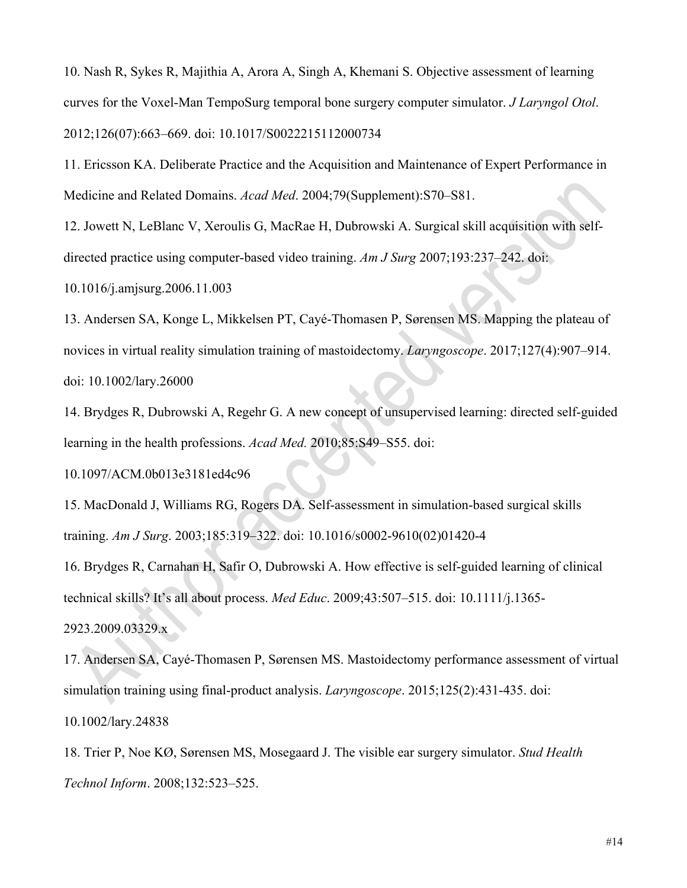10. Nash R, Sykes R, Majithia A, Arora A, Singh A, Khemani S. Objective assessment of learning curves for the Voxel-Man TempoSurg temporal bone surgery computer simulator. *J Laryngol Otol*. 2012;126(07):663–669. doi: 10.1017/S0022215112000734

11. Ericsson KA. Deliberate Practice and the Acquisition and Maintenance of Expert Performance in Medicine and Related Domains. *Acad Med*. 2004;79(Supplement):S70–S81.

12. Jowett N, LeBlanc V, Xeroulis G, MacRae H, Dubrowski A. Surgical skill acquisition with selfdirected practice using computer-based video training. *Am J Surg* 2007;193:237–242. doi:

10.1016/j.amjsurg.2006.11.003

13. Andersen SA, Konge L, Mikkelsen PT, Cayé-Thomasen P, Sørensen MS. Mapping the plateau of novices in virtual reality simulation training of mastoidectomy. *Laryngoscope*. 2017;127(4):907–914. doi: 10.1002/lary.26000

14. Brydges R, Dubrowski A, Regehr G. A new concept of unsupervised learning: directed self-guided learning in the health professions. *Acad Med.* 2010;85:S49–S55. doi:

10.1097/ACM.0b013e3181ed4c96

15. MacDonald J, Williams RG, Rogers DA. Self-assessment in simulation-based surgical skills training. *Am J Surg*. 2003;185:319–322. doi: 10.1016/s0002-9610(02)01420-4

16. Brydges R, Carnahan H, Safir O, Dubrowski A. How effective is self-guided learning of clinical technical skills? It's all about process. *Med Educ*. 2009;43:507–515. doi: 10.1111/j.1365- 2923.2009.03329.x

17. Andersen SA, Cayé-Thomasen P, Sørensen MS. Mastoidectomy performance assessment of virtual simulation training using final-product analysis. *Laryngoscope*. 2015;125(2):431-435. doi: 10.1002/lary.24838

18. Trier P, Noe KØ, Sørensen MS, Mosegaard J. The visible ear surgery simulator. *Stud Health Technol Inform*. 2008;132:523–525.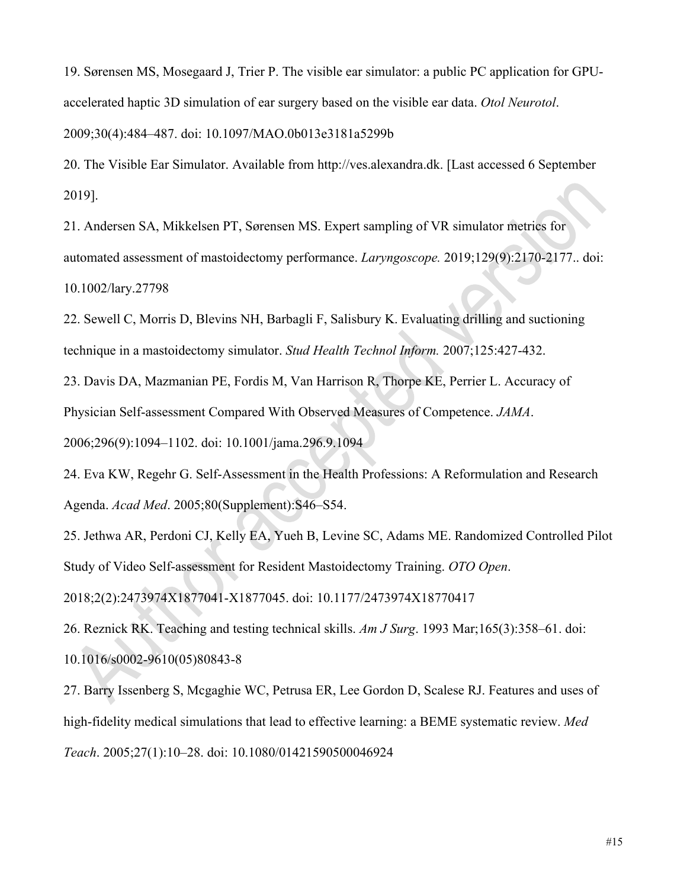19. Sørensen MS, Mosegaard J, Trier P. The visible ear simulator: a public PC application for GPUaccelerated haptic 3D simulation of ear surgery based on the visible ear data. *Otol Neurotol*.

2009;30(4):484–487. doi: 10.1097/MAO.0b013e3181a5299b

20. The Visible Ear Simulator. Available from http://ves.alexandra.dk. [Last accessed 6 September 2019].

21. Andersen SA, Mikkelsen PT, Sørensen MS. Expert sampling of VR simulator metrics for automated assessment of mastoidectomy performance. *Laryngoscope.* 2019;129(9):2170-2177.. doi: 10.1002/lary.27798

22. Sewell C, Morris D, Blevins NH, Barbagli F, Salisbury K. Evaluating drilling and suctioning technique in a mastoidectomy simulator. *Stud Health Technol Inform.* 2007;125:427-432.

23. Davis DA, Mazmanian PE, Fordis M, Van Harrison R, Thorpe KE, Perrier L. Accuracy of Physician Self-assessment Compared With Observed Measures of Competence. *JAMA*. 2006;296(9):1094–1102. doi: 10.1001/jama.296.9.1094

24. Eva KW, Regehr G. Self-Assessment in the Health Professions: A Reformulation and Research Agenda. *Acad Med*. 2005;80(Supplement):S46–S54.

25. Jethwa AR, Perdoni CJ, Kelly EA, Yueh B, Levine SC, Adams ME. Randomized Controlled Pilot Study of Video Self-assessment for Resident Mastoidectomy Training. *OTO Open*.

2018;2(2):2473974X1877041-X1877045. doi: 10.1177/2473974X18770417

26. Reznick RK. Teaching and testing technical skills. *Am J Surg*. 1993 Mar;165(3):358–61. doi:

10.1016/s0002-9610(05)80843-8

27. Barry Issenberg S, Mcgaghie WC, Petrusa ER, Lee Gordon D, Scalese RJ. Features and uses of high-fidelity medical simulations that lead to effective learning: a BEME systematic review. *Med Teach*. 2005;27(1):10–28. doi: 10.1080/01421590500046924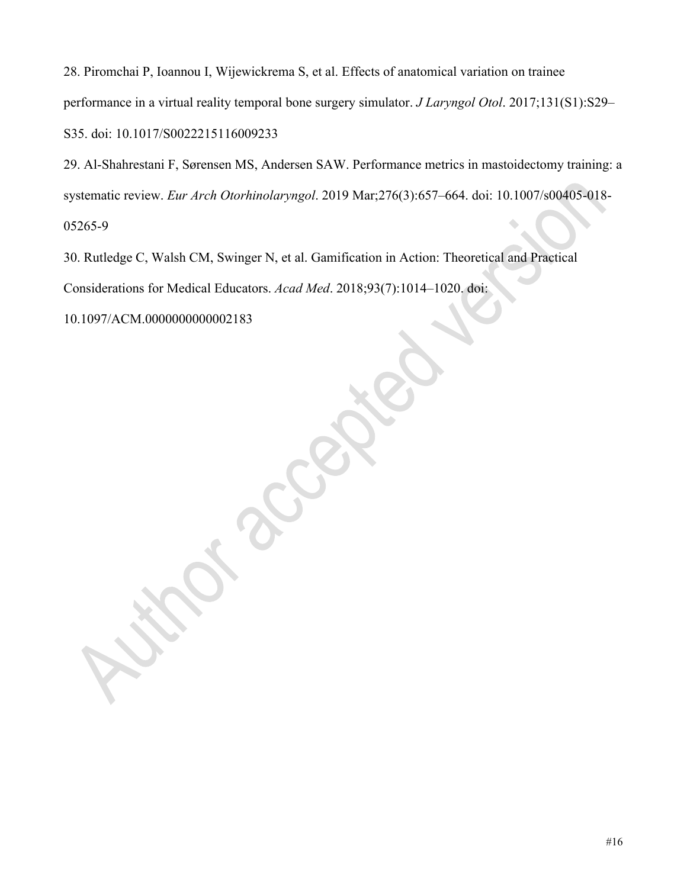28. Piromchai P, Ioannou I, Wijewickrema S, et al. Effects of anatomical variation on trainee performance in a virtual reality temporal bone surgery simulator. *J Laryngol Otol*. 2017;131(S1):S29– S35. doi: 10.1017/S0022215116009233

29. Al-Shahrestani F, Sørensen MS, Andersen SAW. Performance metrics in mastoidectomy training: a systematic review. *Eur Arch Otorhinolaryngol*. 2019 Mar;276(3):657–664. doi: 10.1007/s00405-018- 05265-9

30. Rutledge C, Walsh CM, Swinger N, et al. Gamification in Action: Theoretical and Practical Considerations for Medical Educators. *Acad Med*. 2018;93(7):1014–1020. doi:

10.1097/ACM.0000000000002183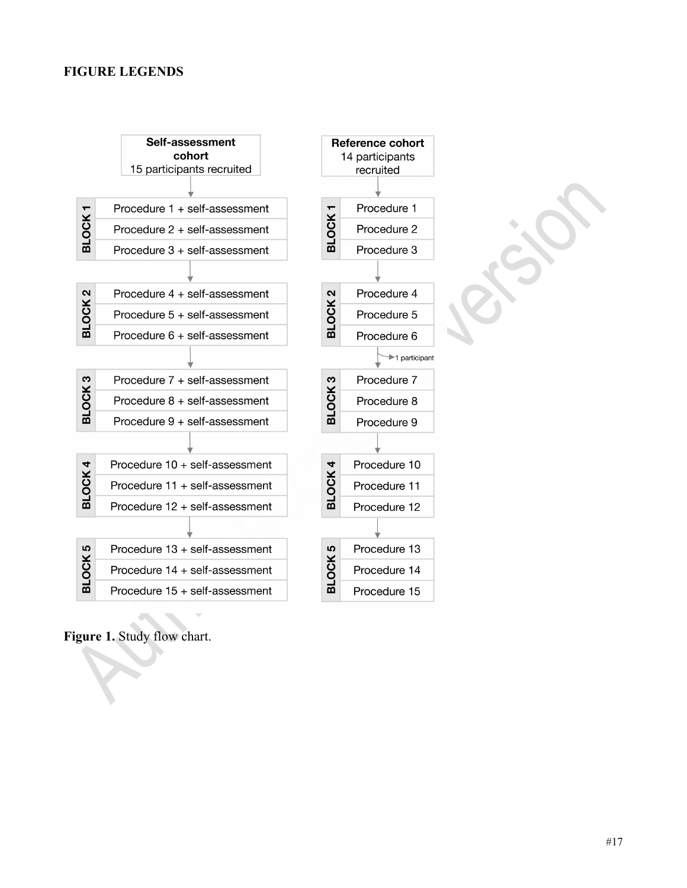# **FIGURE LEGENDS**



**Figure 1.** Study flow chart.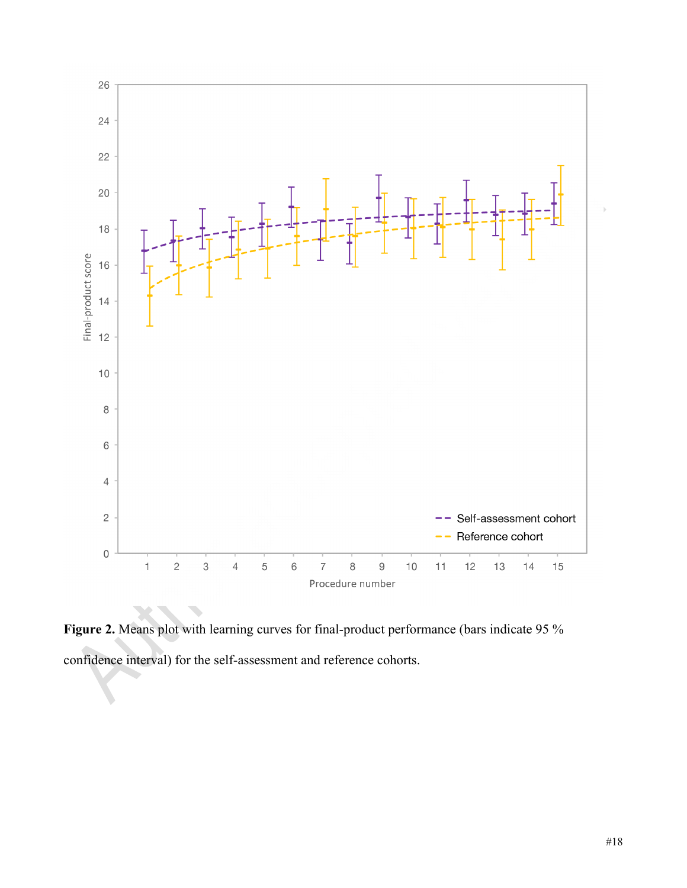

**Figure 2.** Means plot with learning curves for final-product performance (bars indicate 95 % confidence interval) for the self-assessment and reference cohorts.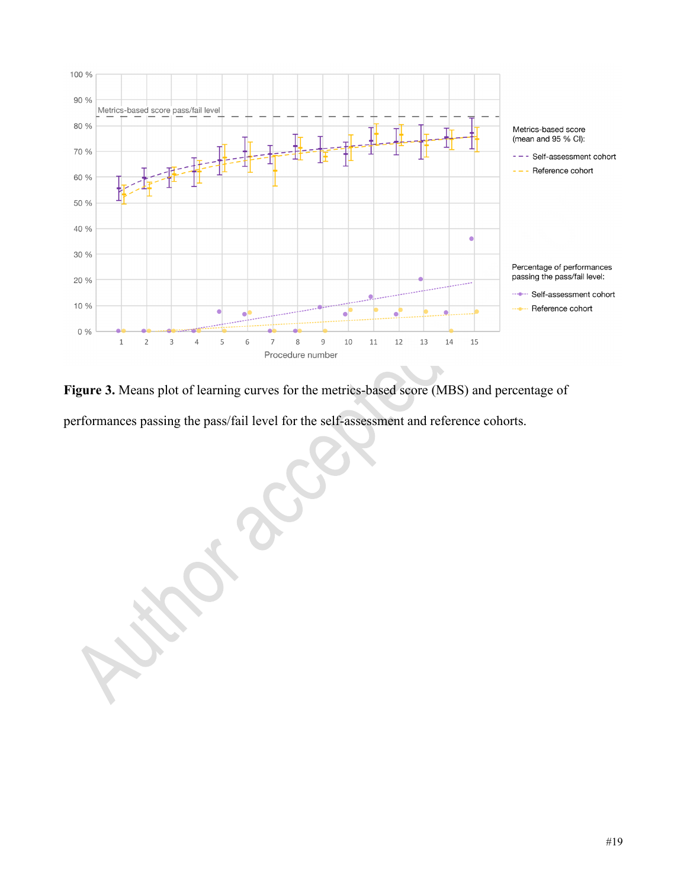

**Figure 3.** Means plot of learning curves for the metrics-based score (MBS) and percentage of performances passing the pass/fail level for the self-assessment and reference cohorts.